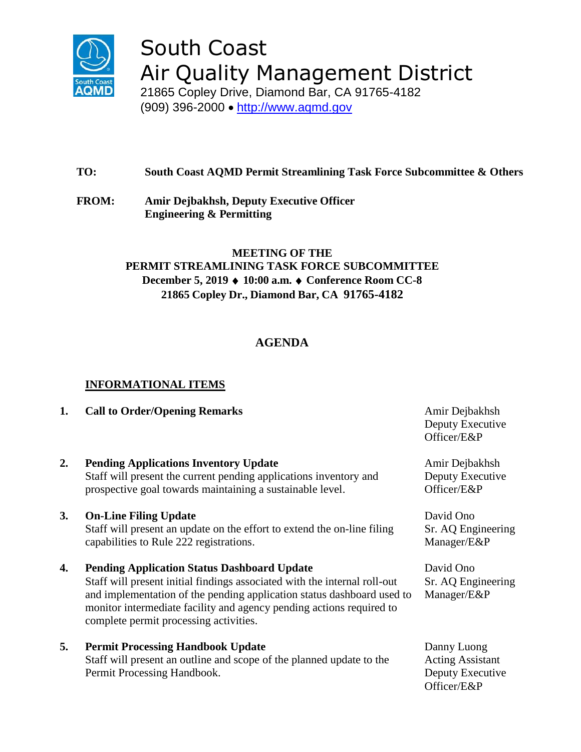

# South Coast Air Quality Management District

21865 Copley Drive, Diamond Bar, CA 91765-4182 (909) 396-2000 • [http://www.aqmd.gov](http://www.aqmd.gov/)

## **TO: South Coast AQMD Permit Streamlining Task Force Subcommittee & Others**

**FROM: Amir Dejbakhsh, Deputy Executive Officer Engineering & Permitting**

## **MEETING OF THE PERMIT STREAMLINING TASK FORCE SUBCOMMITTEE December 5, 2019 10:00 a.m. Conference Room CC-8 21865 Copley Dr., Diamond Bar, CA 91765-4182**

# **AGENDA**

### **INFORMATIONAL ITEMS**

### **1. Call to Order/Opening Remarks** Amir Dejbakhsh

**2. Pending Applications Inventory Update** Staff will present the current pending applications inventory and prospective goal towards maintaining a sustainable level.

### **3. On-Line Filing Update**

Staff will present an update on the effort to extend the on-line filing capabilities to Rule 222 registrations.

**4. Pending Application Status Dashboard Update**

Staff will present initial findings associated with the internal roll-out and implementation of the pending application status dashboard used to monitor intermediate facility and agency pending actions required to complete permit processing activities.

**5. Permit Processing Handbook Update**

Staff will present an outline and scope of the planned update to the Permit Processing Handbook.

Deputy Executive Officer/E&P

Amir Dejbakhsh Deputy Executive Officer/E&P

David Ono Sr. AQ Engineering Manager/E&P

David Ono Sr. AQ Engineering Manager/E&P

Danny Luong Acting Assistant Deputy Executive Officer/E&P